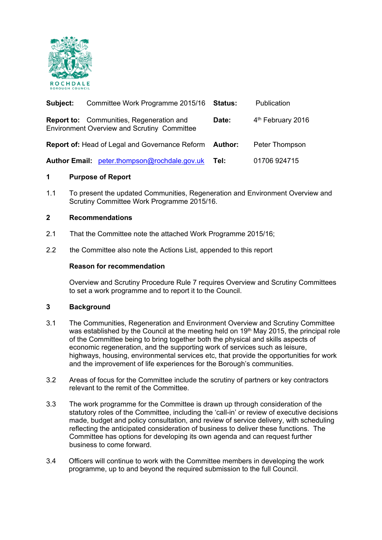

| Subject: | Committee Work Programme 2015/16                                                                      | Status: | Publication                   |
|----------|-------------------------------------------------------------------------------------------------------|---------|-------------------------------|
|          | <b>Report to:</b> Communities, Regeneration and<br><b>Environment Overview and Scrutiny Committee</b> | Date:   | 4 <sup>th</sup> February 2016 |
|          | <b>Report of: Head of Legal and Governance Reform</b>                                                 | Author: | Peter Thompson                |
|          | Author Email: peter.thompson@rochdale.gov.uk                                                          | Tel:    | 01706 924715                  |

# **1 Purpose of Report**

1.1 To present the updated Communities, Regeneration and Environment Overview and Scrutiny Committee Work Programme 2015/16.

### **2 Recommendations**

- 2.1 That the Committee note the attached Work Programme 2015/16;
- 2.2 the Committee also note the Actions List, appended to this report

### **Reason for recommendation**

Overview and Scrutiny Procedure Rule 7 requires Overview and Scrutiny Committees to set a work programme and to report it to the Council.

### **3 Background**

- 3.1 The Communities, Regeneration and Environment Overview and Scrutiny Committee was established by the Council at the meeting held on 19<sup>th</sup> May 2015, the principal role of the Committee being to bring together both the physical and skills aspects of economic regeneration, and the supporting work of services such as leisure, highways, housing, environmental services etc, that provide the opportunities for work and the improvement of life experiences for the Borough's communities.
- 3.2 Areas of focus for the Committee include the scrutiny of partners or key contractors relevant to the remit of the Committee.
- 3.3 The work programme for the Committee is drawn up through consideration of the statutory roles of the Committee, including the 'call-in' or review of executive decisions made, budget and policy consultation, and review of service delivery, with scheduling reflecting the anticipated consideration of business to deliver these functions. The Committee has options for developing its own agenda and can request further business to come forward.
- 3.4 Officers will continue to work with the Committee members in developing the work programme, up to and beyond the required submission to the full Council.